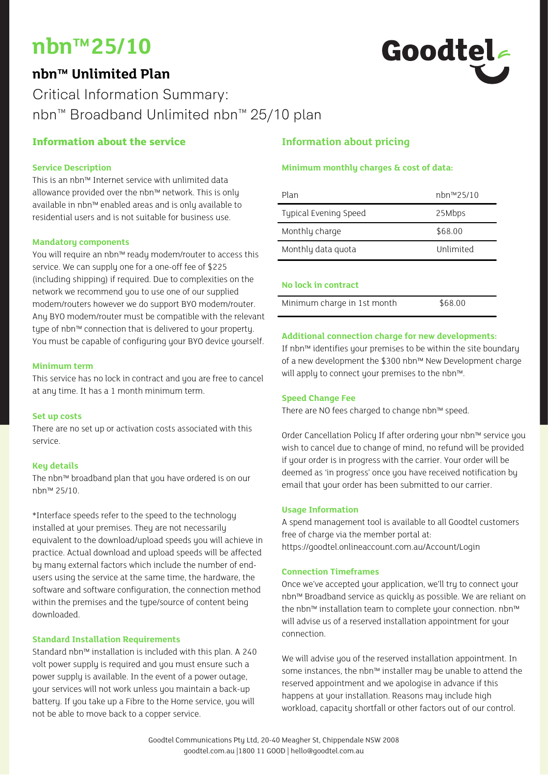# **nbn™25/10**

# **nbn™ Unlimited Plan**



# Critical Information Summary: nbn™ Broadband Unlimited nbn™ 25/10 plan

# **Information about the service**

# **Service Description**

This is an nbn™ Internet service with unlimited data allowance provided over the nbn™ network. This is only available in nbn™ enabled areas and is only available to residential users and is not suitable for business use.

# **Mandatory components**

You will require an nbn™ ready modem/router to access this service. We can supply one for a one-off fee of \$225 (including shipping) if required. Due to complexities on the network we recommend you to use one of our supplied modem/routers however we do support BYO modem/router. Any BYO modem/router must be compatible with the relevant type of nbn™ connection that is delivered to your property. You must be capable of configuring your BYO device yourself.

# **Minimum term**

This service has no lock in contract and you are free to cancel at any time. It has a 1 month minimum term.

#### **Set up costs**

There are no set up or activation costs associated with this service.

# **Key details**

The nbn™ broadband plan that you have ordered is on our nbn™ 25/10.

\*Interface speeds refer to the speed to the technology installed at your premises. They are not necessarily equivalent to the download/upload speeds you will achieve in practice. Actual download and upload speeds will be affected by many external factors which include the number of endusers using the service at the same time, the hardware, the software and software configuration, the connection method within the premises and the type/source of content being downloaded.

# **Standard Installation Requirements**

Standard nbn™ installation is included with this plan. A 240 volt power supply is required and you must ensure such a power supply is available. In the event of a power outage, your services will not work unless you maintain a back-up battery. If you take up a Fibre to the Home service, you will not be able to move back to a copper service.

# **Information about pricing**

# **Minimum monthly charges & cost of data:**

| Plan                  | nbn™25/10 |
|-----------------------|-----------|
| Typical Evening Speed | 25Mbps    |
| Monthly charge        | \$68.00   |
| Monthly data quota    | Unlimited |
|                       |           |

# **No lock in contract**

| Minimum charge in 1st month | \$68.00 |  |
|-----------------------------|---------|--|

# **Additional connection charge for new developments:**

If nbn™ identifies your premises to be within the site boundary of a new development the \$300 nbn™ New Development charge will apply to connect your premises to the nbn™.

# **Speed Change Fee**

There are NO fees charged to change nbn™ speed.

Order Cancellation Policy If after ordering your nbn™ service you wish to cancel due to change of mind, no refund will be provided if your order is in progress with the carrier. Your order will be deemed as 'in progress' once you have received notification by email that your order has been submitted to our carrier.

#### **Usage Information**

A spend management tool is available to all Goodtel customers free of charge via the member portal at: https://goodtel.onlineaccount.com.au/Account/Login

# **Connection Timeframes**

Once we've accepted your application, we'll try to connect your nbn™ Broadband service as quickly as possible. We are reliant on the nbn™ installation team to complete your connection. nbn™ will advise us of a reserved installation appointment for your connection.

We will advise you of the reserved installation appointment. In some instances, the nbn™ installer may be unable to attend the reserved appointment and we apologise in advance if this happens at your installation. Reasons may include high workload, capacity shortfall or other factors out of our control.